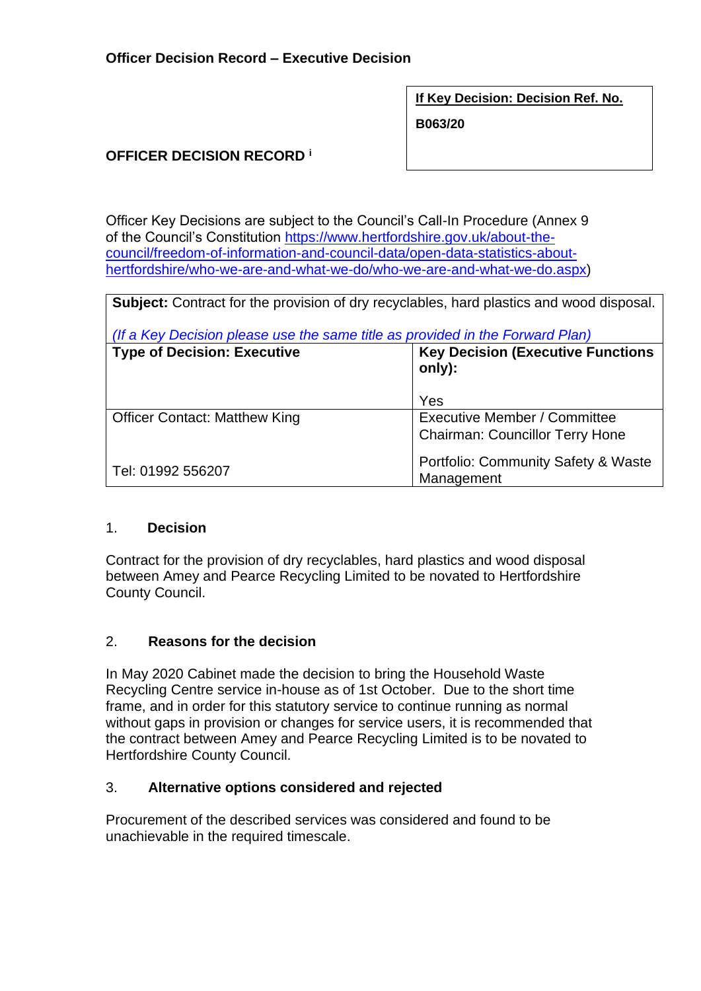**If Key Decision: Decision Ref. No.**

**B063/20**

## **OFFICER DECISION RECORD <sup>i</sup>**

Officer Key Decisions are subject to the Council's Call-In Procedure (Annex 9 of the Council's Constitution [https://www.hertfordshire.gov.uk/about-the](https://www.hertfordshire.gov.uk/about-the-council/freedom-of-information-and-council-data/open-data-statistics-about-hertfordshire/who-we-are-and-what-we-do/who-we-are-and-what-we-do.aspx)[council/freedom-of-information-and-council-data/open-data-statistics-about](https://www.hertfordshire.gov.uk/about-the-council/freedom-of-information-and-council-data/open-data-statistics-about-hertfordshire/who-we-are-and-what-we-do/who-we-are-and-what-we-do.aspx)[hertfordshire/who-we-are-and-what-we-do/who-we-are-and-what-we-do.aspx\)](https://www.hertfordshire.gov.uk/about-the-council/freedom-of-information-and-council-data/open-data-statistics-about-hertfordshire/who-we-are-and-what-we-do/who-we-are-and-what-we-do.aspx)

**Subject:** Contract for the provision of dry recyclables, hard plastics and wood disposal. *(If a Key Decision please use the same title as provided in the Forward Plan)* **Type of Decision: Executive Key Decision (Executive Functions only):** Yes Officer Contact: Matthew King Tel: 01992 556207 Executive Member / Committee Chairman: Councillor Terry Hone Portfolio: Community Safety & Waste Management

### 1. **Decision**

Contract for the provision of dry recyclables, hard plastics and wood disposal between Amey and Pearce Recycling Limited to be novated to Hertfordshire County Council.

### 2. **Reasons for the decision**

In May 2020 Cabinet made the decision to bring the Household Waste Recycling Centre service in-house as of 1st October. Due to the short time frame, and in order for this statutory service to continue running as normal without gaps in provision or changes for service users, it is recommended that the contract between Amey and Pearce Recycling Limited is to be novated to Hertfordshire County Council.

### 3. **Alternative options considered and rejected**

Procurement of the described services was considered and found to be unachievable in the required timescale.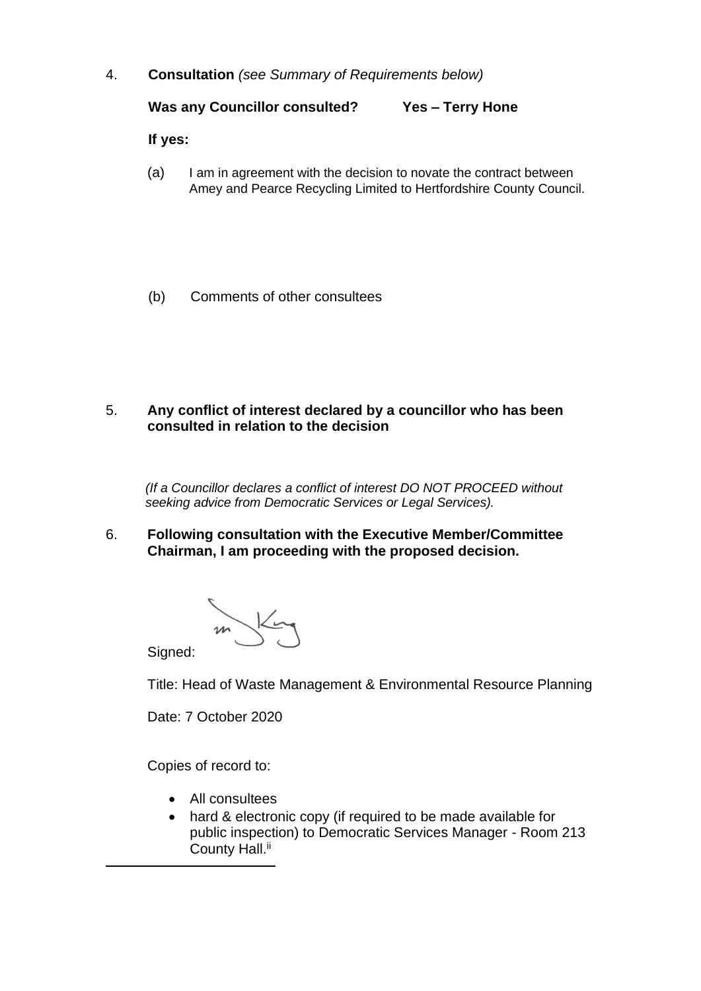4. **Consultation** *(see Summary of Requirements below)*

**Was any Councillor consulted? Yes – Terry Hone**

**If yes:**

- (a) I am in agreement with the decision to novate the contract between Amey and Pearce Recycling Limited to Hertfordshire County Council.
- (b) Comments of other consultees
- 5. **Any conflict of interest declared by a councillor who has been consulted in relation to the decision**

 *(If a Councillor declares a conflict of interest DO NOT PROCEED without seeking advice from Democratic Services or Legal Services).* 

6. **Following consultation with the Executive Member/Committee Chairman, I am proceeding with the proposed decision.**

Signed:

Title: Head of Waste Management & Environmental Resource Planning

Date: 7 October 2020

Copies of record to:

- All consultees
- hard & electronic copy (if required to be made available for public inspection) to Democratic Services Manager - Room 213 County Hall.<sup>ii</sup>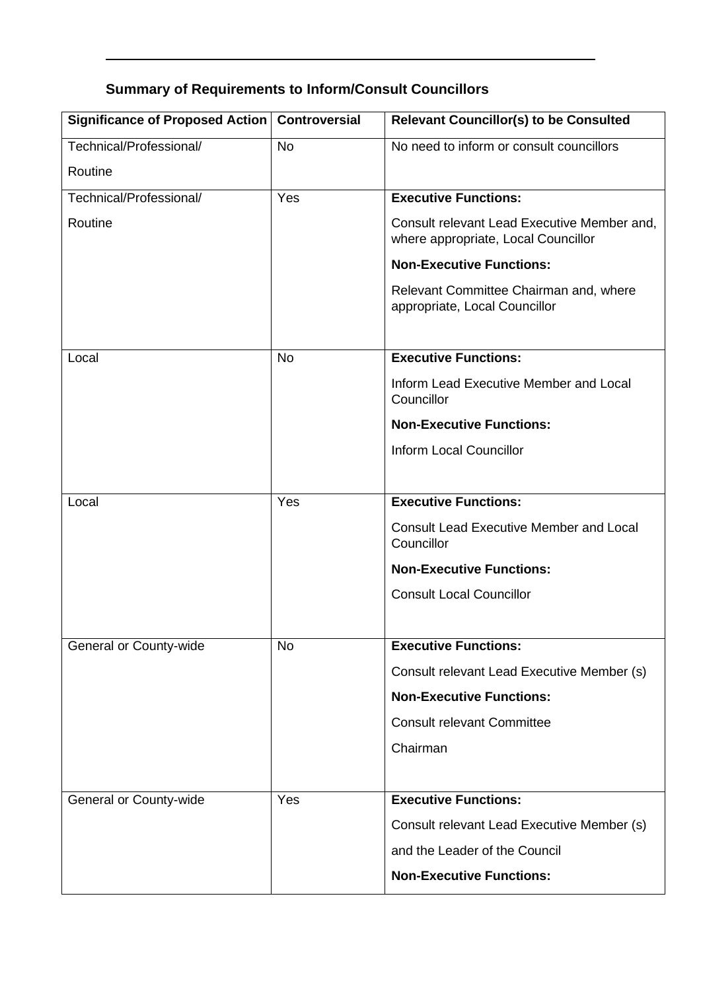# **Summary of Requirements to Inform/Consult Councillors**

| Significance of Proposed Action   Controversial |           | <b>Relevant Councillor(s) to be Consulted</b>                                      |
|-------------------------------------------------|-----------|------------------------------------------------------------------------------------|
| Technical/Professional/                         | <b>No</b> | No need to inform or consult councillors                                           |
| Routine                                         |           |                                                                                    |
| Technical/Professional/                         | Yes       | <b>Executive Functions:</b>                                                        |
| Routine                                         |           | Consult relevant Lead Executive Member and,<br>where appropriate, Local Councillor |
|                                                 |           | <b>Non-Executive Functions:</b>                                                    |
|                                                 |           | Relevant Committee Chairman and, where<br>appropriate, Local Councillor            |
| Local                                           | <b>No</b> | <b>Executive Functions:</b>                                                        |
|                                                 |           | Inform Lead Executive Member and Local<br>Councillor                               |
|                                                 |           | <b>Non-Executive Functions:</b>                                                    |
|                                                 |           | <b>Inform Local Councillor</b>                                                     |
|                                                 |           |                                                                                    |
| Local                                           | Yes       | <b>Executive Functions:</b>                                                        |
|                                                 |           | <b>Consult Lead Executive Member and Local</b><br>Councillor                       |
|                                                 |           | <b>Non-Executive Functions:</b>                                                    |
|                                                 |           | <b>Consult Local Councillor</b>                                                    |
|                                                 |           |                                                                                    |
| General or County-wide                          | <b>No</b> | <b>Executive Functions:</b>                                                        |
|                                                 |           | Consult relevant Lead Executive Member (s)                                         |
|                                                 |           | <b>Non-Executive Functions:</b>                                                    |
|                                                 |           | <b>Consult relevant Committee</b>                                                  |
|                                                 |           | Chairman                                                                           |
|                                                 |           |                                                                                    |
| General or County-wide                          | Yes       | <b>Executive Functions:</b>                                                        |
|                                                 |           | Consult relevant Lead Executive Member (s)                                         |
|                                                 |           | and the Leader of the Council                                                      |
|                                                 |           | <b>Non-Executive Functions:</b>                                                    |